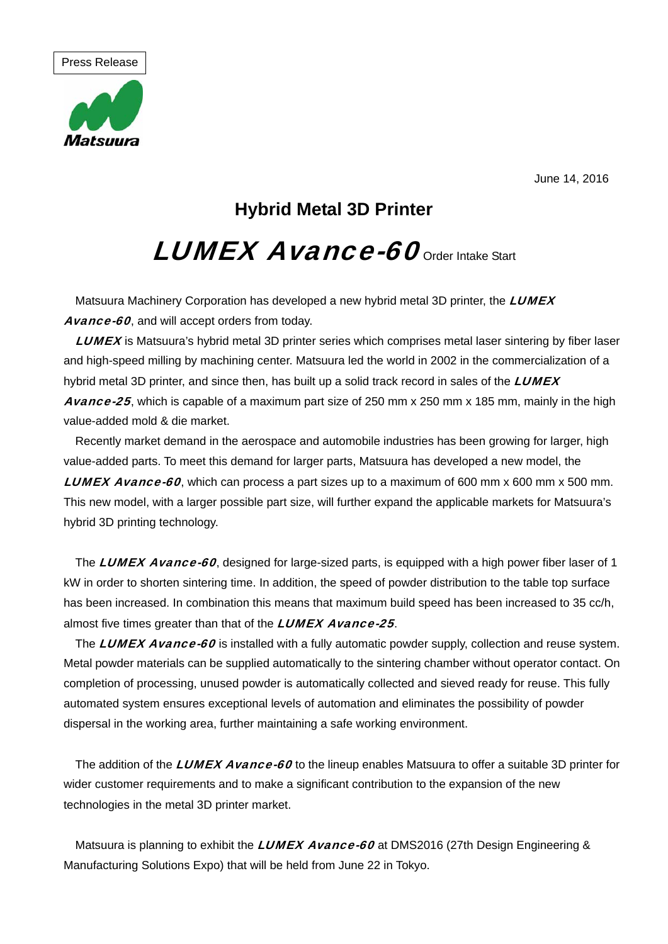June 14, 2016



**Hybrid Metal 3D Printer**

## LUMEX Avance-60 order Intake Start

Matsuura Machinery Corporation has developed a new hybrid metal 3D printer, the LUMEX Avance-60, and will accept orders from today.

LUMEX is Matsuura's hybrid metal 3D printer series which comprises metal laser sintering by fiber laser and high-speed milling by machining center. Matsuura led the world in 2002 in the commercialization of a hybrid metal 3D printer, and since then, has built up a solid track record in sales of the  $LUMEX$ Avance-25, which is capable of a maximum part size of 250 mm x 250 mm x 185 mm, mainly in the high value-added mold & die market.

Recently market demand in the aerospace and automobile industries has been growing for larger, high value-added parts. To meet this demand for larger parts, Matsuura has developed a new model, the **LUMEX Avance-60**, which can process a part sizes up to a maximum of 600 mm x 600 mm x 500 mm. This new model, with a larger possible part size, will further expand the applicable markets for Matsuura's hybrid 3D printing technology.

The LUMEX Avance-60, designed for large-sized parts, is equipped with a high power fiber laser of 1 kW in order to shorten sintering time. In addition, the speed of powder distribution to the table top surface has been increased. In combination this means that maximum build speed has been increased to 35 cc/h, almost five times greater than that of the **LUMEX Avance-25**.

The LUMEX Avance-60 is installed with a fully automatic powder supply, collection and reuse system. Metal powder materials can be supplied automatically to the sintering chamber without operator contact. On completion of processing, unused powder is automatically collected and sieved ready for reuse. This fully automated system ensures exceptional levels of automation and eliminates the possibility of powder dispersal in the working area, further maintaining a safe working environment.

The addition of the LUMEX Avance-60 to the lineup enables Matsuura to offer a suitable 3D printer for wider customer requirements and to make a significant contribution to the expansion of the new technologies in the metal 3D printer market.

Matsuura is planning to exhibit the *LUMEX Avance-60* at DMS2016 (27th Design Engineering & Manufacturing Solutions Expo) that will be held from June 22 in Tokyo.